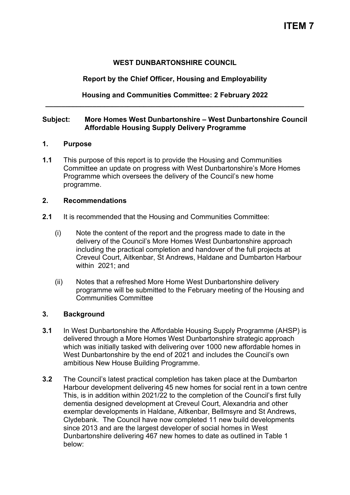## **WEST DUNBARTONSHIRE COUNCIL**

# **Report by the Chief Officer, Housing and Employability**

## **Housing and Communities Committee: 2 February 2022 \_\_\_\_\_\_\_\_\_\_\_\_\_\_\_\_\_\_\_\_\_\_\_\_\_\_\_\_\_\_\_\_\_\_\_\_\_\_\_\_\_\_\_\_\_\_\_\_\_\_\_\_\_\_\_\_\_\_\_\_\_\_\_\_\_\_**

# **Subject: More Homes West Dunbartonshire – West Dunbartonshire Council Affordable Housing Supply Delivery Programme**

### **1. Purpose**

**1.1** This purpose of this report is to provide the Housing and Communities Committee an update on progress with West Dunbartonshire's More Homes Programme which oversees the delivery of the Council's new home programme.

### **2. Recommendations**

- **2.1** It is recommended that the Housing and Communities Committee:
	- (i) Note the content of the report and the progress made to date in the delivery of the Council's More Homes West Dunbartonshire approach including the practical completion and handover of the full projects at Creveul Court, Aitkenbar, St Andrews, Haldane and Dumbarton Harbour within 2021; and
	- (ii) Notes that a refreshed More Home West Dunbartonshire delivery programme will be submitted to the February meeting of the Housing and Communities Committee

## **3. Background**

- **3.1** In West Dunbartonshire the Affordable Housing Supply Programme (AHSP) is delivered through a More Homes West Dunbartonshire strategic approach which was initially tasked with delivering over 1000 new affordable homes in West Dunbartonshire by the end of 2021 and includes the Council's own ambitious New House Building Programme.
- **3.2** The Council's latest practical completion has taken place at the Dumbarton Harbour development delivering 45 new homes for social rent in a town centre This, is in addition within 2021/22 to the completion of the Council's first fully dementia designed development at Creveul Court, Alexandria and other exemplar developments in Haldane, Aitkenbar, Bellmsyre and St Andrews, Clydebank. The Council have now completed 11 new build developments since 2013 and are the largest developer of social homes in West Dunbartonshire delivering 467 new homes to date as outlined in Table 1 below: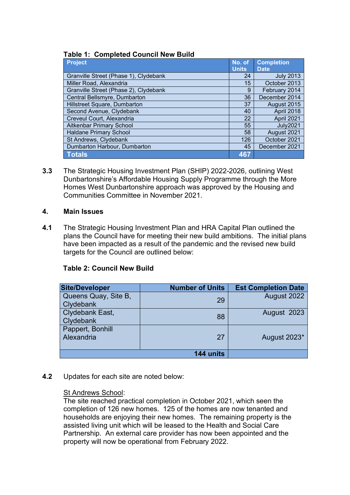| <b>Table 1: Completed Council New Build</b> |  |
|---------------------------------------------|--|
|---------------------------------------------|--|

| <b>Project</b>                        | No. of       | <b>Completion</b> |
|---------------------------------------|--------------|-------------------|
|                                       | <b>Units</b> | <b>Date</b>       |
| Granville Street (Phase 1), Clydebank | 24           | <b>July 2013</b>  |
| Miller Road, Alexandria               | 15           | October 2013      |
| Granville Street (Phase 2), Clydebank | 9            | February 2014     |
| Central Bellsmyre, Dumbarton          | 36           | December 2014     |
| Hillstreet Square, Dumbarton          | 37           | August 2015       |
| Second Avenue, Clydebank              | 40           | April 2018        |
| Creveul Court, Alexandria             | 22           | April 2021        |
| <b>Aitkenbar Primary School</b>       | 55           | <b>July2021</b>   |
| <b>Haldane Primary School</b>         | 58           | August 2021       |
| St Andrews, Clydebank                 | 126          | October 2021      |
| Dumbarton Harbour, Dumbarton          | 45           | December 2021     |
| <b>Totals</b>                         | 467          |                   |

**3.3** The Strategic Housing Investment Plan (SHIP) 2022-2026, outlining West Dunbartonshire's Affordable Housing Supply Programme through the More Homes West Dunbartonshire approach was approved by the Housing and Communities Committee in November 2021.

## **4. Main Issues**

**4.1** The Strategic Housing Investment Plan and HRA Capital Plan outlined the plans the Council have for meeting their new build ambitions. The initial plans have been impacted as a result of the pandemic and the revised new build targets for the Council are outlined below:

# **Table 2: Council New Build**

| <b>Site/Developer</b> | <b>Number of Units</b> | <b>Est Completion Date</b> |
|-----------------------|------------------------|----------------------------|
| Queens Quay, Site B,  | 29                     | August 2022                |
| <b>Clydebank</b>      |                        |                            |
| Clydebank East,       | 88                     | August 2023                |
| Clydebank             |                        |                            |
| Pappert, Bonhill      |                        |                            |
| Alexandria            | 27                     | August 2023*               |
|                       |                        |                            |
|                       | 144 units              |                            |

## **4.2** Updates for each site are noted below:

# St Andrews School:

The site reached practical completion in October 2021, which seen the completion of 126 new homes. 125 of the homes are now tenanted and households are enjoying their new homes. The remaining property is the assisted living unit which will be leased to the Health and Social Care Partnership. An external care provider has now been appointed and the property will now be operational from February 2022.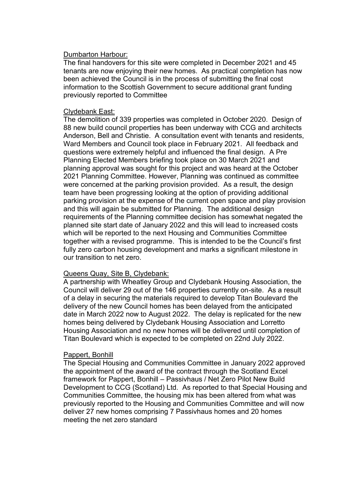### Dumbarton Harbour:

The final handovers for this site were completed in December 2021 and 45 tenants are now enjoying their new homes. As practical completion has now been achieved the Council is in the process of submitting the final cost information to the Scottish Government to secure additional grant funding previously reported to Committee

### Clydebank East:

The demolition of 339 properties was completed in October 2020. Design of 88 new build council properties has been underway with CCG and architects Anderson, Bell and Christie. A consultation event with tenants and residents, Ward Members and Council took place in February 2021. All feedback and questions were extremely helpful and influenced the final design. A Pre Planning Elected Members briefing took place on 30 March 2021 and planning approval was sought for this project and was heard at the October 2021 Planning Committee. However, Planning was continued as committee were concerned at the parking provision provided. As a result, the design team have been progressing looking at the option of providing additional parking provision at the expense of the current open space and play provision and this will again be submitted for Planning. The additional design requirements of the Planning committee decision has somewhat negated the planned site start date of January 2022 and this will lead to increased costs which will be reported to the next Housing and Communities Committee together with a revised programme. This is intended to be the Council's first fully zero carbon housing development and marks a significant milestone in our transition to net zero.

## Queens Quay, Site B, Clydebank:

A partnership with Wheatley Group and Clydebank Housing Association, the Council will deliver 29 out of the 146 properties currently on-site. As a result of a delay in securing the materials required to develop Titan Boulevard the delivery of the new Council homes has been delayed from the anticipated date in March 2022 now to August 2022. The delay is replicated for the new homes being delivered by Clydebank Housing Association and Lorretto Housing Association and no new homes will be delivered until completion of Titan Boulevard which is expected to be completed on 22nd July 2022.

## Pappert, Bonhill

The Special Housing and Communities Committee in January 2022 approved the appointment of the award of the contract through the Scotland Excel framework for Pappert, Bonhill – Passivhaus / Net Zero Pilot New Build Development to CCG (Scotland) Ltd. As reported to that Special Housing and Communities Committee, the housing mix has been altered from what was previously reported to the Housing and Communities Committee and will now deliver 27 new homes comprising 7 Passivhaus homes and 20 homes meeting the net zero standard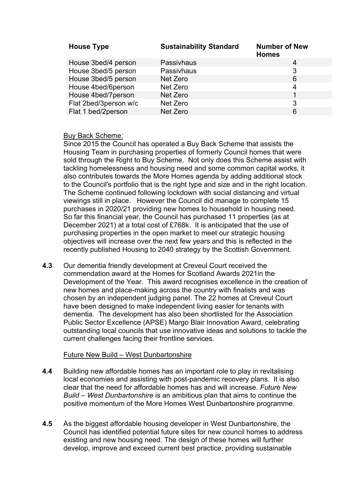| <b>House Type</b>     | <b>Sustainability Standard</b> | <b>Number of New</b><br><b>Homes</b> |
|-----------------------|--------------------------------|--------------------------------------|
| House 3bed/4 person   | Passivhaus                     | 4                                    |
| House 3bed/5 person   | Passivhaus                     | 3                                    |
| House 3bed/5 person   | Net Zero                       | 6                                    |
| House 4bed/6person    | Net Zero                       | 4                                    |
| House 4bed/7person    | Net Zero                       | 1                                    |
| Flat 2bed/3person w/c | Net Zero                       | 3                                    |
| Flat 1 bed/2person    | Net Zero                       | 6                                    |

## Buy Back Scheme:

Since 2015 the Council has operated a Buy Back Scheme that assists the Housing Team in purchasing properties of formerly Council homes that were sold through the Right to Buy Scheme. Not only does this Scheme assist with tackling homelessness and housing need and some common capital works, it also contributes towards the More Homes agenda by adding additional stock to the Council's portfolio that is the right type and size and in the right location. The Scheme continued following lockdown with social distancing and virtual viewings still in place. However the Council did manage to complete 15 purchases in 2020/21 providing new homes to household in housing need. So far this financial year, the Council has purchased 11 properties (as at December 2021) at a total cost of £768k. It is anticipated that the use of purchasing properties in the open market to meet our strategic housing objectives will increase over the next few years and this is reflected in the recently published Housing to 2040 strategy by the Scottish Government.

**4.3** Our dementia friendly development at Creveul Court received the commendation award at the Homes for Scotland Awards 2021in the Development of the Year. This award recognises excellence in the creation of new homes and place-making across the country with finalists and was chosen by an independent judging panel. The 22 homes at Creveul Court have been designed to make independent living easier for tenants with dementia. The development has also been shortlisted for the Association Public Sector Excellence (APSE) Margo Blair Innovation Award, celebrating outstanding local councils that use innovative ideas and solutions to tackle the current challenges facing their frontline services.

## Future New Build – West Dunbartonshire

- **4.4** Building new affordable homes has an important role to play in revitalising local economies and assisting with post-pandemic recovery plans. It is also clear that the need for affordable homes has and will increase. *Future New Build – West Dunbartonshire* is an ambitious plan that aims to continue the positive momentum of the More Homes West Dunbartonshire programme.
- **4.5** As the biggest affordable housing developer in West Dunbartonshire, the Council has identified potential future sites for new council homes to address existing and new housing need. The design of these homes will further develop, improve and exceed current best practice, providing sustainable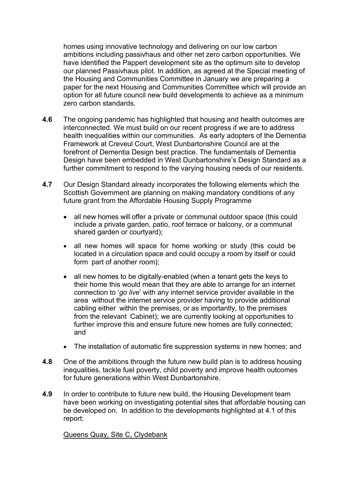homes using innovative technology and delivering on our low carbon ambitions including passivhaus and other net zero carbon opportunities. We have identified the Pappert development site as the optimum site to develop our planned Passivhaus pilot. In addition, as agreed at the Special meeting of the Housing and Communities Committee in January we are preparing a paper for the next Housing and Communities Committee which will provide an option for all future council new build developments to achieve as a minimum zero carbon standards.

- **4.6** The ongoing pandemic has highlighted that housing and health outcomes are interconnected. We must build on our recent progress if we are to address health inequalities within our communities. As early adopters of the Dementia Framework at Creveul Court, West Dunbartonshire Council are at the forefront of Dementia Design best practice. The fundamentals of Dementia Design have been embedded in West Dunbartonshire's Design Standard as a further commitment to respond to the varying housing needs of our residents.
- **4.7** Our Design Standard already incorporates the following elements which the Scottish Government are planning on making mandatory conditions of any future grant from the Affordable Housing Supply Programme
	- all new homes will offer a private or communal outdoor space (this could include a private garden, patio, roof terrace or balcony, or a communal shared garden or courtyard);
	- all new homes will space for home working or study (this could be located in a circulation space and could occupy a room by itself or could form part of another room);
	- all new homes to be digitally-enabled (when a tenant gets the keys to their home this would mean that they are able to arrange for an internet connection to '*go live*' with any internet service provider available in the area without the internet service provider having to provide additional cabling either within the premises, or as importantly, to the premises from the relevant Cabinet); we are currently looking at opportunities to further improve this and ensure future new homes are fully connected; and
	- The installation of automatic fire suppression systems in new homes; and
- **4.8** One of the ambitions through the future new build plan is to address housing inequalities, tackle fuel poverty, child poverty and improve health outcomes for future generations within West Dunbartonshire.
- **4.9** In order to contribute to future new build, the Housing Development team have been working on investigating potential sites that affordable housing can be developed on. In addition to the developments highlighted at 4.1 of this report:

### Queens Quay, Site C, Clydebank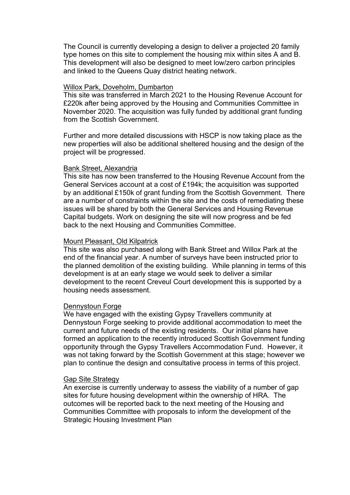The Council is currently developing a design to deliver a projected 20 family type homes on this site to complement the housing mix within sites A and B. This development will also be designed to meet low/zero carbon principles and linked to the Queens Quay district heating network.

#### Willox Park, Doveholm, Dumbarton

This site was transferred in March 2021 to the Housing Revenue Account for £220k after being approved by the Housing and Communities Committee in November 2020. The acquisition was fully funded by additional grant funding from the Scottish Government.

Further and more detailed discussions with HSCP is now taking place as the new properties will also be additional sheltered housing and the design of the project will be progressed.

#### Bank Street, Alexandria

This site has now been transferred to the Housing Revenue Account from the General Services account at a cost of £194k; the acquisition was supported by an additional £150k of grant funding from the Scottish Government. There are a number of constraints within the site and the costs of remediating these issues will be shared by both the General Services and Housing Revenue Capital budgets. Work on designing the site will now progress and be fed back to the next Housing and Communities Committee.

#### Mount Pleasant, Old Kilpatrick

This site was also purchased along with Bank Street and Willox Park at the end of the financial year. A number of surveys have been instructed prior to the planned demolition of the existing building. While planning in terms of this development is at an early stage we would seek to deliver a similar development to the recent Creveul Court development this is supported by a housing needs assessment.

### Dennystoun Forge

We have engaged with the existing Gypsy Travellers community at Dennystoun Forge seeking to provide additional accommodation to meet the current and future needs of the existing residents. Our initial plans have formed an application to the recently introduced Scottish Government funding opportunity through the Gypsy Travellers Accommodation Fund. However, it was not taking forward by the Scottish Government at this stage; however we plan to continue the design and consultative process in terms of this project.

#### Gap Site Strategy

An exercise is currently underway to assess the viability of a number of gap sites for future housing development within the ownership of HRA. The outcomes will be reported back to the next meeting of the Housing and Communities Committee with proposals to inform the development of the Strategic Housing Investment Plan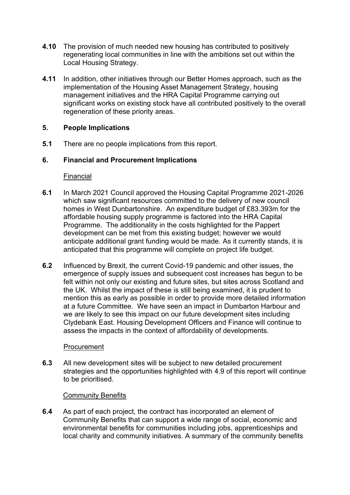- **4.10** The provision of much needed new housing has contributed to positively regenerating local communities in line with the ambitions set out within the Local Housing Strategy.
- **4.11** In addition, other initiatives through our Better Homes approach, such as the implementation of the Housing Asset Management Strategy, housing management initiatives and the HRA Capital Programme carrying out significant works on existing stock have all contributed positively to the overall regeneration of these priority areas.

# **5. People Implications**

**5.1** There are no people implications from this report.

# **6. Financial and Procurement Implications**

## Financial

- **6.1** In March 2021 Council approved the Housing Capital Programme 2021-2026 which saw significant resources committed to the delivery of new council homes in West Dunbartonshire. An expenditure budget of £83.393m for the affordable housing supply programme is factored into the HRA Capital Programme. The additionality in the costs highlighted for the Pappert development can be met from this existing budget; however we would anticipate additional grant funding would be made. As it currently stands, it is anticipated that this programme will complete on project life budget.
- **6.2** Influenced by Brexit, the current Covid-19 pandemic and other issues, the emergence of supply issues and subsequent cost increases has begun to be felt within not only our existing and future sites, but sites across Scotland and the UK. Whilst the impact of these is still being examined, it is prudent to mention this as early as possible in order to provide more detailed information at a future Committee. We have seen an impact in Dumbarton Harbour and we are likely to see this impact on our future development sites including Clydebank East. Housing Development Officers and Finance will continue to assess the impacts in the context of affordability of developments.

## **Procurement**

**6.3** All new development sites will be subject to new detailed procurement strategies and the opportunities highlighted with 4.9 of this report will continue to be prioritised.

## Community Benefits

**6.4** As part of each project, the contract has incorporated an element of Community Benefits that can support a wide range of social, economic and environmental benefits for communities including jobs, apprenticeships and local charity and community initiatives. A summary of the community benefits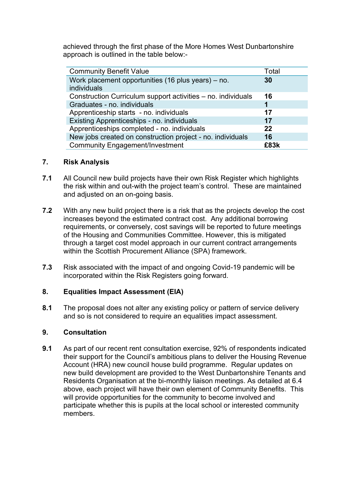achieved through the first phase of the More Homes West Dunbartonshire approach is outlined in the table below:-

| <b>Community Benefit Value</b>                               | Total |
|--------------------------------------------------------------|-------|
| Work placement opportunities (16 plus years) – no.           | 30    |
| individuals                                                  |       |
| Construction Curriculum support activities – no. individuals | 16    |
| Graduates - no. individuals                                  | 1     |
| Apprenticeship starts - no. individuals                      | 17    |
| Existing Apprenticeships - no. individuals                   | 17    |
| Apprenticeships completed - no. individuals                  | 22    |
| New jobs created on construction project - no. individuals   | 16    |
| <b>Community Engagement/Investment</b>                       | £83k  |

# **7. Risk Analysis**

- **7.1** All Council new build projects have their own Risk Register which highlights the risk within and out-with the project team's control. These are maintained and adjusted on an on-going basis.
- **7.2** With any new build project there is a risk that as the projects develop the cost increases beyond the estimated contract cost. Any additional borrowing requirements, or conversely, cost savings will be reported to future meetings of the Housing and Communities Committee. However, this is mitigated through a target cost model approach in our current contract arrangements within the Scottish Procurement Alliance (SPA) framework.
- **7.3** Risk associated with the impact of and ongoing Covid-19 pandemic will be incorporated within the Risk Registers going forward.

## **8. Equalities Impact Assessment (EIA)**

**8.1** The proposal does not alter any existing policy or pattern of service delivery and so is not considered to require an equalities impact assessment.

# **9. Consultation**

**9.1** As part of our recent rent consultation exercise, 92% of respondents indicated their support for the Council's ambitious plans to deliver the Housing Revenue Account (HRA) new council house build programme. Regular updates on new build development are provided to the West Dunbartonshire Tenants and Residents Organisation at the bi-monthly liaison meetings. As detailed at 6.4 above, each project will have their own element of Community Benefits. This will provide opportunities for the community to become involved and participate whether this is pupils at the local school or interested community members.